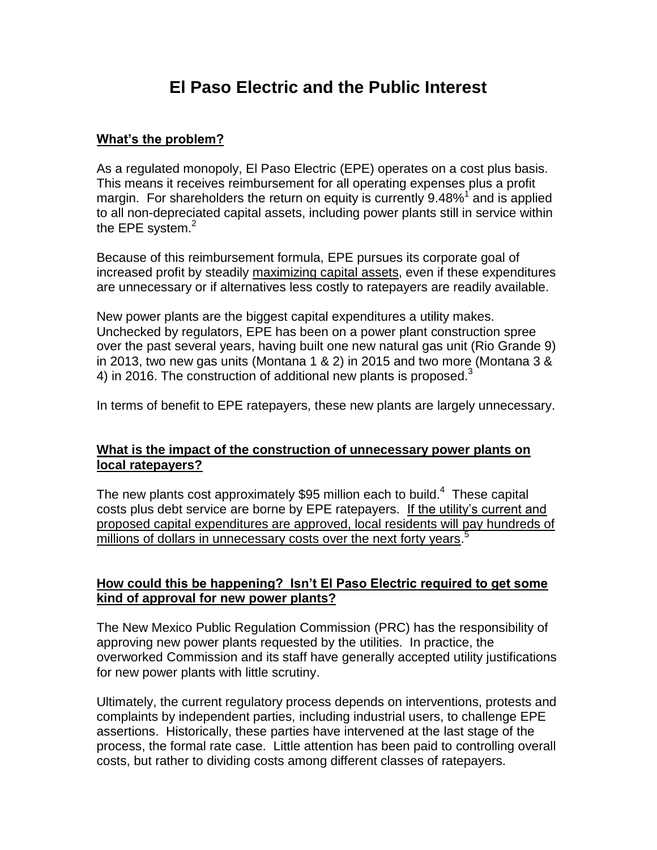# **El Paso Electric and the Public Interest**

# **What's the problem?**

As a regulated monopoly, El Paso Electric (EPE) operates on a cost plus basis. This means it receives reimbursement for all operating expenses plus a profit margin. For shareholders the return on equity is currently  $9.48\%$ <sup>1</sup> and is applied to all non-depreciated capital assets, including power plants still in service within the EPE system. $2$ 

Because of this reimbursement formula, EPE pursues its corporate goal of increased profit by steadily maximizing capital assets, even if these expenditures are unnecessary or if alternatives less costly to ratepayers are readily available.

New power plants are the biggest capital expenditures a utility makes. Unchecked by regulators, EPE has been on a power plant construction spree over the past several years, having built one new natural gas unit (Rio Grande 9) in 2013, two new gas units (Montana 1 & 2) in 2015 and two more (Montana 3 & 4) in 2016. The construction of additional new plants is proposed.<sup>3</sup>

In terms of benefit to EPE ratepayers, these new plants are largely unnecessary.

## **What is the impact of the construction of unnecessary power plants on local ratepayers?**

The new plants cost approximately \$95 million each to build.<sup>4</sup> These capital costs plus debt service are borne by EPE ratepayers. If the utility's current and proposed capital expenditures are approved, local residents will pay hundreds of millions of dollars in unnecessary costs over the next forty years.<sup>5</sup>

## **How could this be happening? Isn't El Paso Electric required to get some kind of approval for new power plants?**

The New Mexico Public Regulation Commission (PRC) has the responsibility of approving new power plants requested by the utilities. In practice, the overworked Commission and its staff have generally accepted utility justifications for new power plants with little scrutiny.

Ultimately, the current regulatory process depends on interventions, protests and complaints by independent parties, including industrial users, to challenge EPE assertions. Historically, these parties have intervened at the last stage of the process, the formal rate case. Little attention has been paid to controlling overall costs, but rather to dividing costs among different classes of ratepayers.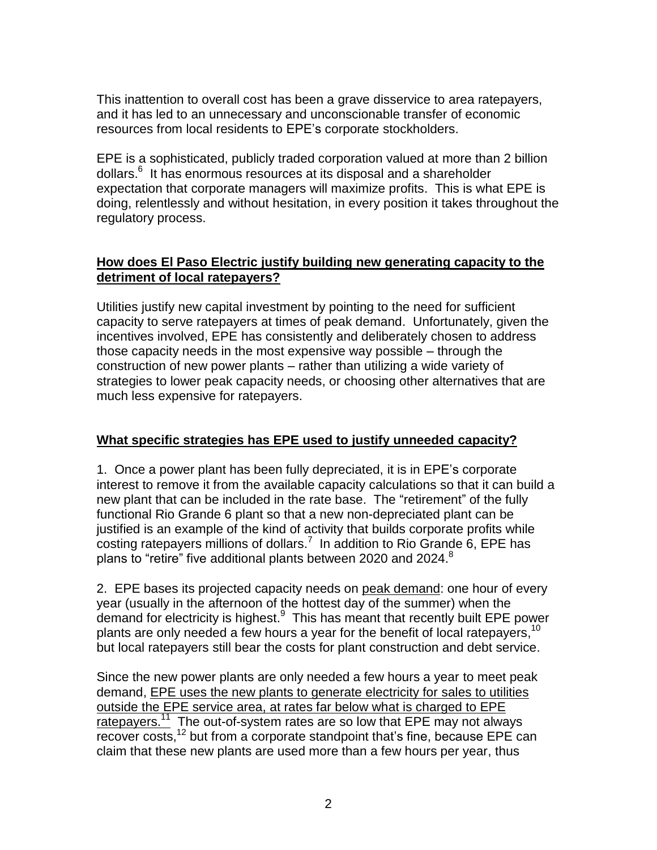This inattention to overall cost has been a grave disservice to area ratepayers, and it has led to an unnecessary and unconscionable transfer of economic resources from local residents to EPE's corporate stockholders.

EPE is a sophisticated, publicly traded corporation valued at more than 2 billion dollars. 6 It has enormous resources at its disposal and a shareholder expectation that corporate managers will maximize profits. This is what EPE is doing, relentlessly and without hesitation, in every position it takes throughout the regulatory process.

## **How does El Paso Electric justify building new generating capacity to the detriment of local ratepayers?**

Utilities justify new capital investment by pointing to the need for sufficient capacity to serve ratepayers at times of peak demand. Unfortunately, given the incentives involved, EPE has consistently and deliberately chosen to address those capacity needs in the most expensive way possible – through the construction of new power plants – rather than utilizing a wide variety of strategies to lower peak capacity needs, or choosing other alternatives that are much less expensive for ratepayers.

# **What specific strategies has EPE used to justify unneeded capacity?**

1. Once a power plant has been fully depreciated, it is in EPE's corporate interest to remove it from the available capacity calculations so that it can build a new plant that can be included in the rate base. The "retirement" of the fully functional Rio Grande 6 plant so that a new non-depreciated plant can be justified is an example of the kind of activity that builds corporate profits while costing ratepayers millions of dollars.<sup>7</sup> In addition to Rio Grande 6, EPE has plans to "retire" five additional plants between 2020 and 2024.<sup>8</sup>

2. EPE bases its projected capacity needs on peak demand: one hour of every year (usually in the afternoon of the hottest day of the summer) when the demand for electricity is highest.<sup>9</sup> This has meant that recently built EPE power plants are only needed a few hours a year for the benefit of local ratepayers,  $^{10}$ but local ratepayers still bear the costs for plant construction and debt service.

Since the new power plants are only needed a few hours a year to meet peak demand, EPE uses the new plants to generate electricity for sales to utilities outside the EPE service area, at rates far below what is charged to EPE ratepayers.<sup>11</sup> The out-of-system rates are so low that EPE may not always recover costs,<sup>12</sup> but from a corporate standpoint that's fine, because EPE can claim that these new plants are used more than a few hours per year, thus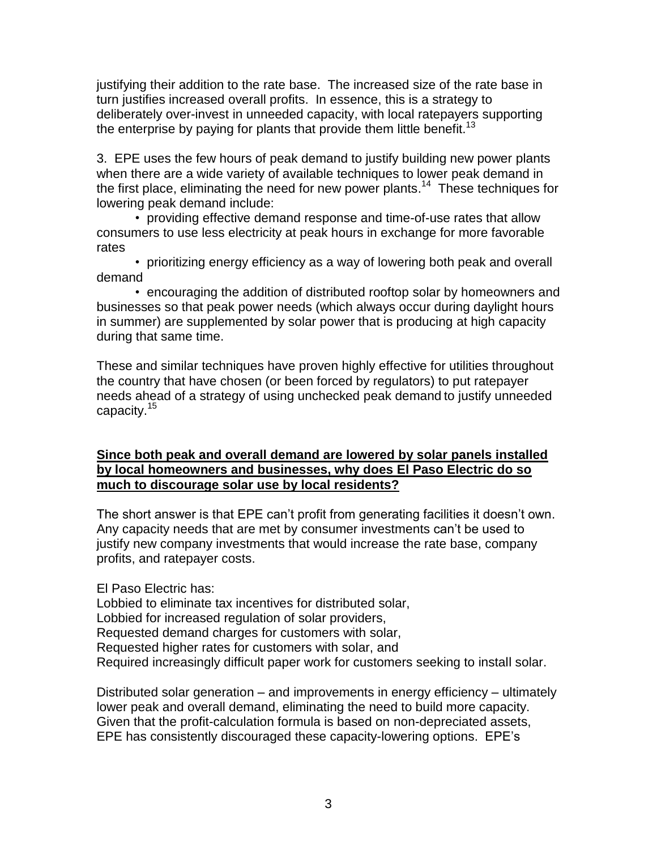justifying their addition to the rate base. The increased size of the rate base in turn justifies increased overall profits. In essence, this is a strategy to deliberately over-invest in unneeded capacity, with local ratepayers supporting the enterprise by paying for plants that provide them little benefit.<sup>13</sup>

3. EPE uses the few hours of peak demand to justify building new power plants when there are a wide variety of available techniques to lower peak demand in the first place, eliminating the need for new power plants.<sup>14</sup> These techniques for lowering peak demand include:

• providing effective demand response and time-of-use rates that allow consumers to use less electricity at peak hours in exchange for more favorable rates

• prioritizing energy efficiency as a way of lowering both peak and overall demand

• encouraging the addition of distributed rooftop solar by homeowners and businesses so that peak power needs (which always occur during daylight hours in summer) are supplemented by solar power that is producing at high capacity during that same time.

These and similar techniques have proven highly effective for utilities throughout the country that have chosen (or been forced by regulators) to put ratepayer needs ahead of a strategy of using unchecked peak demand to justify unneeded capacity.<sup>15</sup>

## **Since both peak and overall demand are lowered by solar panels installed by local homeowners and businesses, why does El Paso Electric do so much to discourage solar use by local residents?**

The short answer is that EPE can't profit from generating facilities it doesn't own. Any capacity needs that are met by consumer investments can't be used to justify new company investments that would increase the rate base, company profits, and ratepayer costs.

El Paso Electric has:

Lobbied to eliminate tax incentives for distributed solar, Lobbied for increased regulation of solar providers, Requested demand charges for customers with solar, Requested higher rates for customers with solar, and Required increasingly difficult paper work for customers seeking to install solar.

Distributed solar generation – and improvements in energy efficiency – ultimately lower peak and overall demand, eliminating the need to build more capacity. Given that the profit-calculation formula is based on non-depreciated assets, EPE has consistently discouraged these capacity-lowering options. EPE's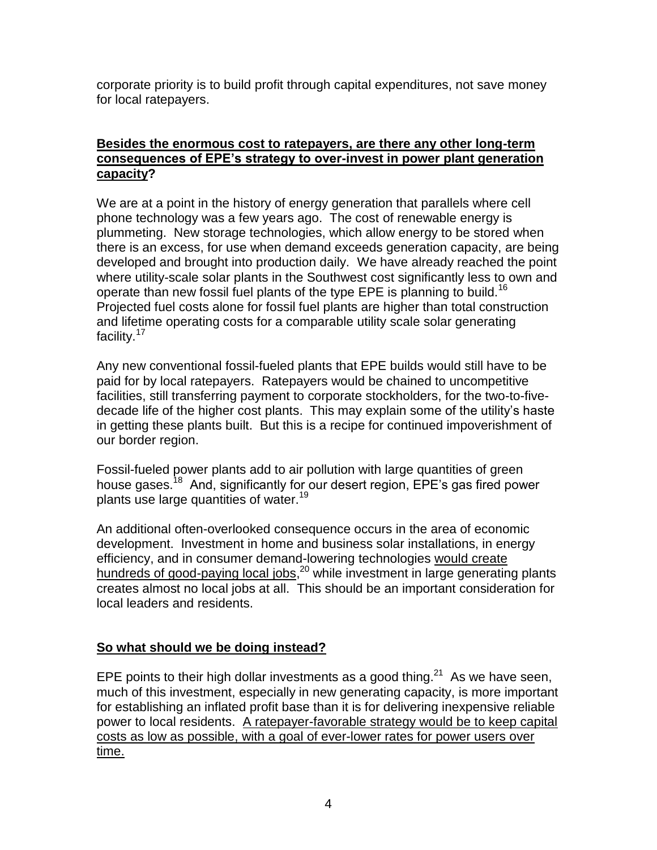corporate priority is to build profit through capital expenditures, not save money for local ratepayers.

#### **Besides the enormous cost to ratepayers, are there any other long-term consequences of EPE's strategy to over-invest in power plant generation capacity?**

We are at a point in the history of energy generation that parallels where cell phone technology was a few years ago. The cost of renewable energy is plummeting. New storage technologies, which allow energy to be stored when there is an excess, for use when demand exceeds generation capacity, are being developed and brought into production daily. We have already reached the point where utility-scale solar plants in the Southwest cost significantly less to own and operate than new fossil fuel plants of the type EPE is planning to build.<sup>16</sup> Projected fuel costs alone for fossil fuel plants are higher than total construction and lifetime operating costs for a comparable utility scale solar generating facility.<sup>17</sup>

Any new conventional fossil-fueled plants that EPE builds would still have to be paid for by local ratepayers. Ratepayers would be chained to uncompetitive facilities, still transferring payment to corporate stockholders, for the two-to-fivedecade life of the higher cost plants. This may explain some of the utility's haste in getting these plants built. But this is a recipe for continued impoverishment of our border region.

Fossil-fueled power plants add to air pollution with large quantities of green house gases.<sup>18</sup> And, significantly for our desert region, EPE's gas fired power plants use large quantities of water.<sup>19</sup>

An additional often-overlooked consequence occurs in the area of economic development. Investment in home and business solar installations, in energy efficiency, and in consumer demand-lowering technologies would create hundreds of good-paying local jobs,<sup>20</sup> while investment in large generating plants creates almost no local jobs at all. This should be an important consideration for local leaders and residents.

#### **So what should we be doing instead?**

EPE points to their high dollar investments as a good thing.<sup>21</sup> As we have seen, much of this investment, especially in new generating capacity, is more important for establishing an inflated profit base than it is for delivering inexpensive reliable power to local residents. A ratepayer-favorable strategy would be to keep capital costs as low as possible, with a goal of ever-lower rates for power users over time.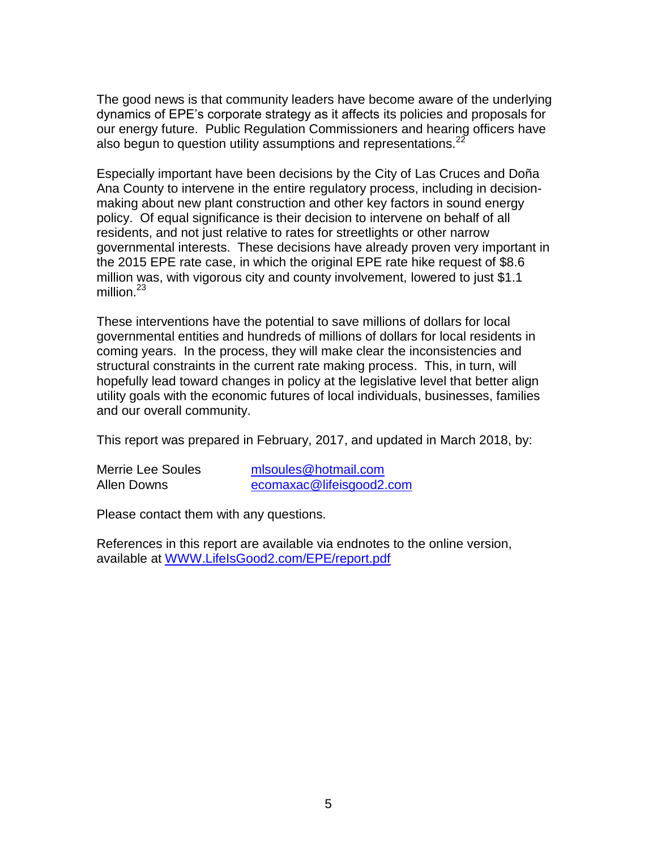The good news is that community leaders have become aware of the underlying dynamics of EPE's corporate strategy as it affects its policies and proposals for our energy future. Public Regulation Commissioners and hearing officers have also begun to question utility assumptions and representations. $^{22}$ 

Especially important have been decisions by the City of Las Cruces and Doña Ana County to intervene in the entire regulatory process, including in decisionmaking about new plant construction and other key factors in sound energy policy. Of equal significance is their decision to intervene on behalf of all residents, and not just relative to rates for streetlights or other narrow governmental interests. These decisions have already proven very important in the 2015 EPE rate case, in which the original EPE rate hike request of \$8.6 million was, with vigorous city and county involvement, lowered to just \$1.1 million $^{23}$ 

These interventions have the potential to save millions of dollars for local governmental entities and hundreds of millions of dollars for local residents in coming years. In the process, they will make clear the inconsistencies and structural constraints in the current rate making process. This, in turn, will hopefully lead toward changes in policy at the legislative level that better align utility goals with the economic futures of local individuals, businesses, families and our overall community.

This report was prepared in February, 2017, and updated in March 2018, by:

Merrie Lee Soules [mlsoules@hotmail.com](mailto:mlsoules@hotmail.com) Allen Downs [ecomaxac@lifeisgood2.com](mailto:ecomaxac@lifeisgood2.com)

Please contact them with any questions.

References in this report are available via endnotes to the online version, available at [WWW.LifeIsGood2.com/EPE/report.pdf](http://www.lifeisgood2.com/EPE/report.pdf)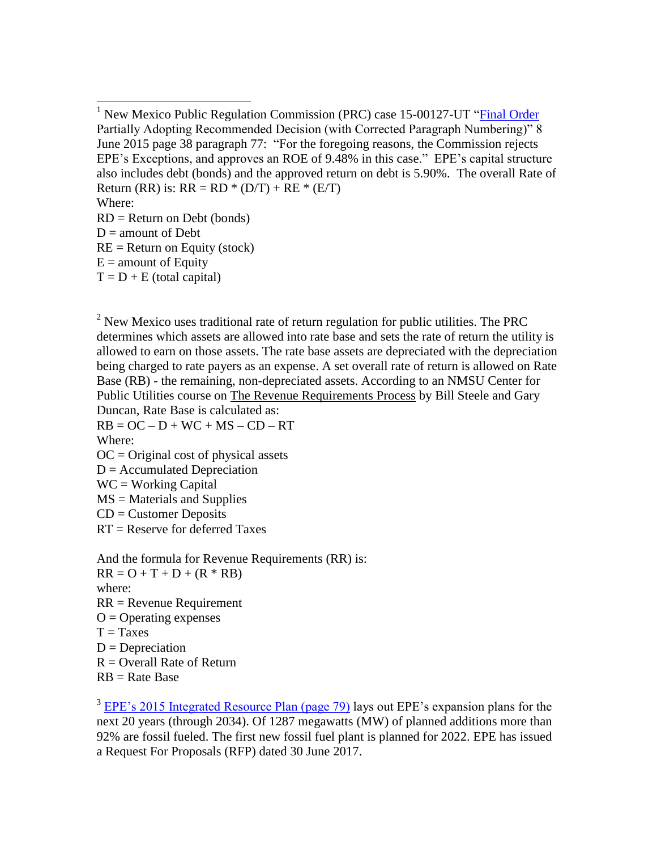Where:

 $\overline{a}$ 

- RD = Return on Debt (bonds)
- $D =$  amount of Debt
- $RE = Return$  on Equity (stock)
- $E =$  amount of Equity
- $T = D + E$  (total capital)

 $<sup>2</sup>$  New Mexico uses traditional rate of return regulation for public utilities. The PRC</sup> determines which assets are allowed into rate base and sets the rate of return the utility is allowed to earn on those assets. The rate base assets are depreciated with the depreciation being charged to rate payers as an expense. A set overall rate of return is allowed on Rate Base (RB) - the remaining, non-depreciated assets. According to an NMSU Center for Public Utilities course on The Revenue Requirements Process by Bill Steele and Gary Duncan, Rate Base is calculated as:

 $RB = OC - D + WC + MS - CD - RT$ Where:

 $OC = Original cost of physical assets$ 

 $D =$  Accumulated Depreciation

- $WC = Working Capital$
- MS = Materials and Supplies
- CD = Customer Deposits
- RT = Reserve for deferred Taxes

And the formula for Revenue Requirements (RR) is:  $RR = O + T + D + (R * RB)$ where: RR = Revenue Requirement  $O =$ Operating expenses  $T = T$ axes  $D = Depreciation$  $R =$  Overall Rate of Return  $RB = Rate Base$ 

 $3$  [EPE's 2015 Integrated Resource Plan \(page 79\)](http://164.64.85.108/infodocs/2016/7/PRS20226893DOC.PDF#page=87) lays out EPE's expansion plans for the next 20 years (through 2034). Of 1287 megawatts (MW) of planned additions more than 92% are fossil fueled. The first new fossil fuel plant is planned for 2022. EPE has issued a Request For Proposals (RFP) dated 30 June 2017.

<sup>&</sup>lt;sup>1</sup> New Mexico Public Regulation Commission (PRC) case 15-00127-UT ["Final Order](http://164.64.85.108/infodocs/2016/6/PRS20224542DOC.PDF#page=38) Partially Adopting Recommended Decision (with Corrected Paragraph Numbering)" 8 June 2015 page 38 paragraph 77: "For the foregoing reasons, the Commission rejects EPE's Exceptions, and approves an ROE of 9.48% in this case." EPE's capital structure also includes debt (bonds) and the approved return on debt is 5.90%. The overall Rate of Return (RR) is:  $RR = RD * (D/T) + RE * (E/T)$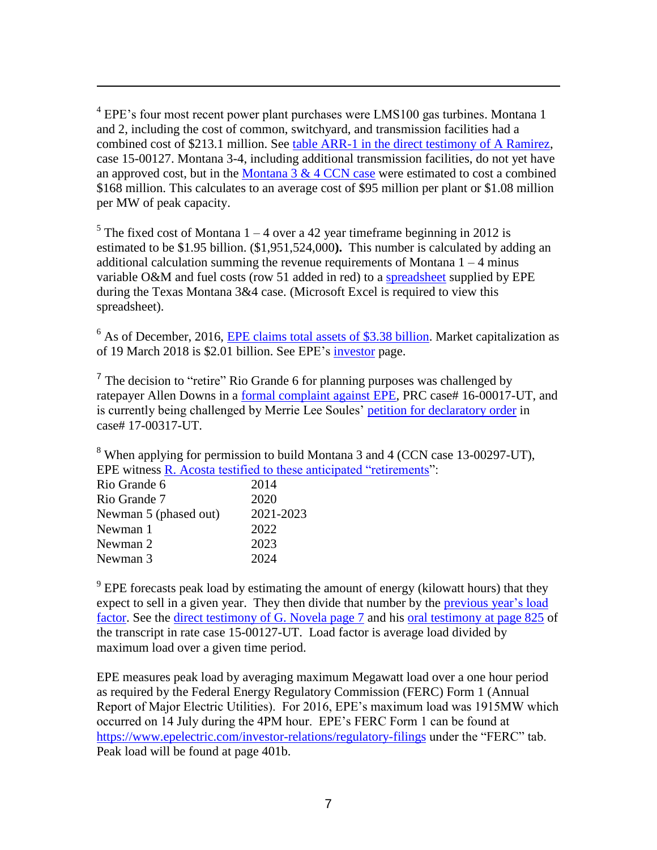$4$  EPE's four most recent power plant purchases were LMS100 gas turbines. Montana 1 and 2, including the cost of common, switchyard, and transmission facilities had a combined cost of \$213.1 million. See [table ARR-1 in the direct testimony of A Ramirez,](http://164.64.85.108/infodocs/2015/5/PRS20208562DOC.PDF#page=14) case 15-00127. Montana 3-4, including additional transmission facilities, do not yet have an approved cost, but in the Montana  $3 \& 4 \text{ CCN}$  case were estimated to cost a combined \$168 million. This calculates to an average cost of \$95 million per plant or \$1.08 million per MW of peak capacity.

<sup>5</sup> The fixed cost of Montana  $1 - 4$  over a 42 year time frame beginning in 2012 is estimated to be \$1.95 billion. (\$1,951,524,000**).** This number is calculated by adding an additional calculation summing the revenue requirements of Montana  $1 - 4$  minus variable O&M and fuel costs (row 51 added in red) to a [spreadsheet](http://lifeisgood2.com/EPE/EPEAndPublicInterest/170123MontanaRevenueRequirements.xlsx) supplied by EPE during the Texas Montana 3&4 case. (Microsoft Excel is required to view this spreadsheet).

 $<sup>6</sup>$  As of December, 2016, EPE [claims total assets of \\$3.38 billion.](https://s22.q4cdn.com/953030901/files/doc_financials/annual_reports/EE_-_2016_Annual_Report.pdfEPE) Market capitalization as</sup> of 19 March 2018 is \$2.01 billion. See EPE's [investor](https://ir.epelectric.com/home/default.aspx) page.

<sup>7</sup> The decision to "retire" Rio Grande 6 for planning purposes was challenged by ratepayer Allen Downs in a [formal complaint against EPE,](http://164.64.85.108/infodocs/2016/2/PRS20217881DOC.PDF#page=2) PRC case# 16-00017-UT, and is currently being challenged by Merrie Lee Soules' [petition for declaratory order](http://164.64.85.108/infodocs/2017/12/PRS20247920DOC.PDF) in case# 17-00317-UT.

<sup>8</sup> When applying for permission to build Montana 3 and 4 (CCN case 13-00297-UT), EPE witness [R. Acosta testified to these anticipated "retirements"](http://164.64.85.108/infodocs/2013/9/PRS20187690DOC.PDF#page=60):

| 2014      |
|-----------|
| 2020      |
| 2021-2023 |
| 2022      |
| 2023      |
| 2024      |
|           |

 $\overline{a}$ 

 $9$  EPE forecasts peak load by estimating the amount of energy (kilowatt hours) that they expect to sell in a given year. They then divide that number by the previous year's load [factor.](http://164.64.85.108/infodocs/2015/11/PRS20215976DOC.PDF#page=303) See the [direct testimony of G. Novela page 7](http://164.64.85.108/infodocs/2015/11/PRS20215976DOC.PDF#page=303) and his [oral testimony](http://164.64.85.108/infodocs/2015/11/PRS20216065DOC.PDF#page=92) at page 825 of the transcript in rate case 15-00127-UT. Load factor is average load divided by maximum load over a given time period.

EPE measures peak load by averaging maximum Megawatt load over a one hour period as required by the Federal Energy Regulatory Commission (FERC) Form 1 (Annual Report of Major Electric Utilities). For 2016, EPE's maximum load was 1915MW which occurred on 14 July during the 4PM hour. EPE's FERC Form 1 can be found at <https://www.epelectric.com/investor-relations/regulatory-filings> under the "FERC" tab. Peak load will be found at page 401b.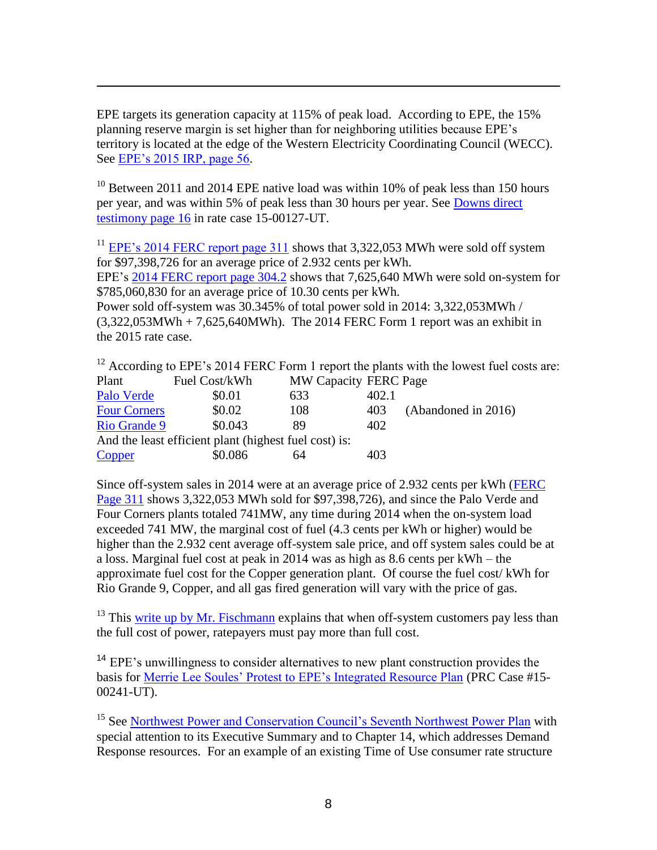EPE targets its generation capacity at 115% of peak load. According to EPE, the 15% planning reserve margin is set higher than for neighboring utilities because EPE's territory is located at the edge of the Western Electricity Coordinating Council (WECC). See [EPE's 2015 IRP, page 56.](http://164.64.85.108/infodocs/2016/7/PRS20226893DOC.PDF#page=64&zoom=auto,-13,416)

 $\overline{a}$ 

 $10$  Between 2011 and 2014 EPE native load was within 10% of peak less than 150 hours per year, and was within 5% of peak less than 30 hours per year. See [Downs direct](http://164.64.85.108/infodocs/2015/9/PRS20213873DOC.PDF#page=16)  [testimony page 16](http://164.64.85.108/infodocs/2015/9/PRS20213873DOC.PDF#page=16) in rate case 15-00127-UT.

<sup>11</sup> [EPE's 2014 FERC report page 311](http://164.64.85.108/infodocs/2015/5/PRS20208564DOC.PDF#page=679&zoom=auto,-13,406) shows that 3,322,053 MWh were sold off system for \$97,398,726 for an average price of 2.932 cents per kWh.

EPE's [2014 FERC report page 304.2](http://164.64.85.108/infodocs/2015/5/PRS20208564DOC.PDF#page=674&zoom=auto,-13,351) shows that 7,625,640 MWh were sold on-system for \$785,060,830 for an average price of 10.30 cents per kWh.

Power sold off-system was 30.345% of total power sold in 2014: 3,322,053MWh /  $(3,322,053MWh + 7,625,640MWh)$ . The 2014 FERC Form 1 report was an exhibit in the 2015 rate case.

<sup>12</sup> According to EPE's 2014 FERC Form 1 report the plants with the lowest fuel costs are:<br>Plant Fuel Cost/kWh MW Capacity FERC Page Plant Fuel Cost/kWh MW Capacity FERC Page

|                     |                                                       |     | --- - - - - - - - - - - - - - |  |
|---------------------|-------------------------------------------------------|-----|-------------------------------|--|
| Palo Verde          | \$0.01                                                | 633 | 402.1                         |  |
| <b>Four Corners</b> | \$0.02                                                | 108 | (Abandoned in 2016)<br>403    |  |
| Rio Grande 9        | \$0.043                                               | 89  | 402                           |  |
|                     | And the least efficient plant (highest fuel cost) is: |     |                               |  |
| <b>Copper</b>       | \$0.086                                               | 64  | 403                           |  |

Since off-system sales in 2014 were at an average price of 2.932 cents per kWh [\(FERC](http://164.64.85.108/infodocs/2015/5/PRS20208564DOC.PDF#page=679)  [Page 311](http://164.64.85.108/infodocs/2015/5/PRS20208564DOC.PDF#page=679) shows 3,322,053 MWh sold for \$97,398,726), and since the Palo Verde and Four Corners plants totaled 741MW, any time during 2014 when the on-system load exceeded 741 MW, the marginal cost of fuel (4.3 cents per kWh or higher) would be higher than the 2.932 cent average off-system sale price, and off system sales could be at a loss. Marginal fuel cost at peak in 2014 was as high as 8.6 cents per kWh – the approximate fuel cost for the Copper generation plant. Of course the fuel cost/ kWh for Rio Grande 9, Copper, and all gas fired generation will vary with the price of gas.

 $13$  This [write up by Mr. Fischmann](http://lifeisgood2.com/EPE/EPEAndPublicInterest/EPEUberRipoff.pdf) explains that when off-system customers pay less than the full cost of power, ratepayers must pay more than full cost.

<sup>14</sup> EPE's unwillingness to consider alternatives to new plant construction provides the basis for [Merrie Lee Soules' Protest to EPE's Integrated Resource Plan](http://164.64.85.108/infodocs/2015/7/PRS20211689DOC.PDF#page=2) (PRC Case #15- 00241-UT).

<sup>15</sup> See [Northwest Power and Conservation Council's Seventh Northwest Power Plan](http://www.nwcouncil.org/energy/powerplan/7/home/) with special attention to its Executive Summary and to Chapter 14, which addresses Demand Response resources. For an example of an existing Time of Use consumer rate structure